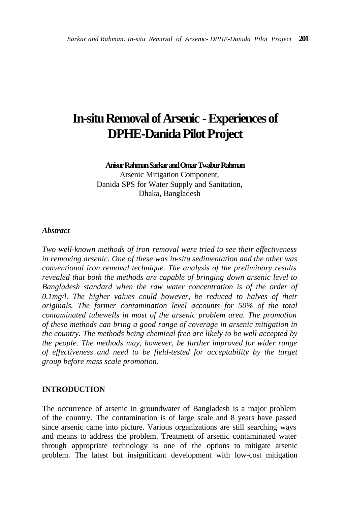# **In-situ Removal of Arsenic - Experiences of DPHE-Danida Pilot Project**

#### **Anisur Rahman Sarkar and Omar Twabur Rahman**

Arsenic Mitigation Component, Danida SPS for Water Supply and Sanitation, Dhaka, Bangladesh

#### *Abstract*

*Two well-known methods of iron removal were tried to see their effectiveness in removing arsenic. One of these was in-situ sedimentation and the other was conventional iron removal technique. The analysis of the preliminary results revealed that both the methods are capable of bringing down arsenic level to Bangladesh standard when the raw water concentration is of the order of 0.1mg/l. The higher values could however, be reduced to halves of their originals. The former contamination level accounts for 50% of the total contaminated tubewells in most of the arsenic problem area. The promotion of these methods can bring a good range of coverage in arsenic mitigation in the country. The methods being chemical free are likely to be well accepted by the people. The methods may, however, be further improved for wider range of effectiveness and need to be field-tested for acceptability by the target group before mass scale promotion.* 

#### **INTRODUCTION**

The occurrence of arsenic in groundwater of Bangladesh is a major problem of the country. The contamination is of large scale and 8 years have passed since arsenic came into picture. Various organizations are still searching ways and means to address the problem. Treatment of arsenic contaminated water through appropriate technology is one of the options to mitigate arsenic problem. The latest but insignificant development with low-cost mitigation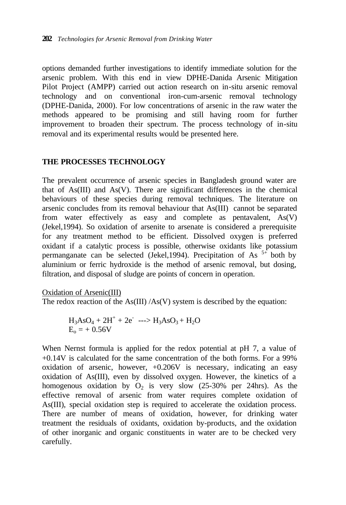options demanded further investigations to identify immediate solution for the arsenic problem. With this end in view DPHE-Danida Arsenic Mitigation Pilot Project (AMPP) carried out action research on in-situ arsenic removal technology and on conventional iron-cum-arsenic removal technology (DPHE-Danida, 2000). For low concentrations of arsenic in the raw water the methods appeared to be promising and still having room for further improvement to broaden their spectrum. The process technology of in-situ removal and its experimental results would be presented here.

## **THE PROCESSES TECHNOLOGY**

The prevalent occurrence of arsenic species in Bangladesh ground water are that of As(III) and As(V). There are significant differences in the chemical behaviours of these species during removal techniques. The literature on arsenic concludes from its removal behaviour that As(III) cannot be separated from water effectively as easy and complete as pentavalent, As(V) (Jekel,1994). So oxidation of arsenite to arsenate is considered a prerequisite for any treatment method to be efficient. Dissolved oxygen is preferred oxidant if a catalytic process is possible, otherwise oxidants like potassium permanganate can be selected (Jekel, 1994). Precipitation of As  $5+\frac{1}{2}$  both by aluminium or ferric hydroxide is the method of arsenic removal, but dosing, filtration, and disposal of sludge are points of concern in operation.

Oxidation of Arsenic(III)

The redox reaction of the  $As(III) / As(V)$  system is described by the equation:

$$
H_3AsO_4 + 2H^+ + 2e^- \longrightarrow H_3AsO_3 + H_2O
$$
  

$$
E_0 = + 0.56V
$$

When Nernst formula is applied for the redox potential at pH 7, a value of +0.14V is calculated for the same concentration of the both forms. For a 99% oxidation of arsenic, however, +0.206V is necessary, indicating an easy oxidation of As(III), even by dissolved oxygen. However, the kinetics of a homogenous oxidation by  $O_2$  is very slow (25-30% per 24hrs). As the effective removal of arsenic from water requires complete oxidation of As(III), special oxidation step is required to accelerate the oxidation process. There are number of means of oxidation, however, for drinking water treatment the residuals of oxidants, oxidation by-products, and the oxidation of other inorganic and organic constituents in water are to be checked very carefully.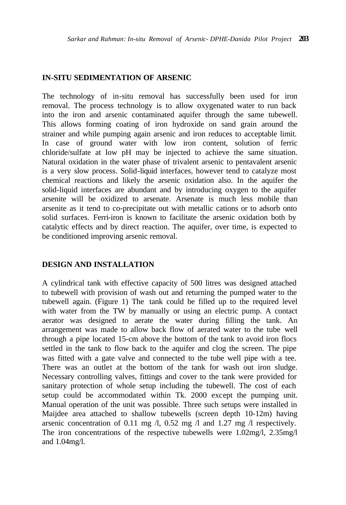#### **IN-SITU SEDIMENTATION OF ARSENIC**

The technology of in-situ removal has successfully been used for iron removal. The process technology is to allow oxygenated water to run back into the iron and arsenic contaminated aquifer through the same tubewell. This allows forming coating of iron hydroxide on sand grain around the strainer and while pumping again arsenic and iron reduces to acceptable limit. In case of ground water with low iron content, solution of ferric chloride/sulfate at low pH may be injected to achieve the same situation. Natural oxidation in the water phase of trivalent arsenic to pentavalent arsenic is a very slow process. Solid-liquid interfaces, however tend to catalyze most chemical reactions and likely the arsenic oxidation also. In the aquifer the solid-liquid interfaces are abundant and by introducing oxygen to the aquifer arsenite will be oxidized to arsenate. Arsenate is much less mobile than arsenite as it tend to co-precipitate out with metallic cations or to adsorb onto solid surfaces. Ferri-iron is known to facilitate the arsenic oxidation both by catalytic effects and by direct reaction. The aquifer, over time, is expected to be conditioned improving arsenic removal.

## **DESIGN AND INSTALLATION**

A cylindrical tank with effective capacity of 500 litres was designed attached to tubewell with provision of wash out and returning the pumped water to the tubewell again. (Figure 1) The tank could be filled up to the required level with water from the TW by manually or using an electric pump. A contact aerator was designed to aerate the water during filling the tank. An arrangement was made to allow back flow of aerated water to the tube well through a pipe located 15-cm above the bottom of the tank to avoid iron flocs settled in the tank to flow back to the aquifer and clog the screen. The pipe was fitted with a gate valve and connected to the tube well pipe with a tee. There was an outlet at the bottom of the tank for wash out iron sludge. Necessary controlling valves, fittings and cover to the tank were provided for sanitary protection of whole setup including the tubewell. The cost of each setup could be accommodated within Tk. 2000 except the pumping unit. Manual operation of the unit was possible. Three such setups were installed in Maijdee area attached to shallow tubewells (screen depth 10-12m) having arsenic concentration of 0.11 mg /l, 0.52 mg /l and 1.27 mg /l respectively. The iron concentrations of the respective tubewells were 1.02mg/l, 2.35mg/l and 1.04mg/l.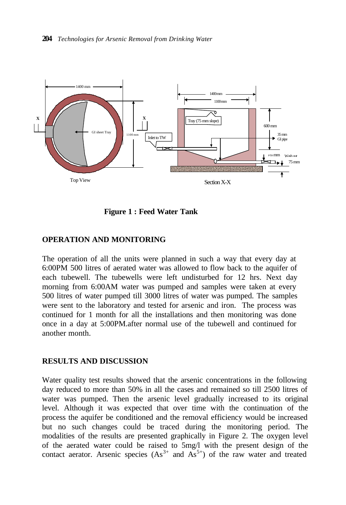

 **Figure 1 : Feed Water Tank**

## **OPERATION AND MONITORING**

The operation of all the units were planned in such a way that every day at 6:00PM 500 litres of aerated water was allowed to flow back to the aquifer of each tubewell. The tubewells were left undisturbed for 12 hrs. Next day morning from 6:00AM water was pumped and samples were taken at every 500 litres of water pumped till 3000 litres of water was pumped. The samples were sent to the laboratory and tested for arsenic and iron. The process was continued for 1 month for all the installations and then monitoring was done once in a day at 5:00PM.after normal use of the tubewell and continued for another month.

#### **RESULTS AND DISCUSSION**

Water quality test results showed that the arsenic concentrations in the following day reduced to more than 50% in all the cases and remained so till 2500 litres of water was pumped. Then the arsenic level gradually increased to its original level. Although it was expected that over time with the continuation of the process the aquifer be conditioned and the removal efficiency would be increased but no such changes could be traced during the monitoring period. The modalities of the results are presented graphically in Figure 2. The oxygen level of the aerated water could be raised to 5mg/l with the present design of the contact aerator. Arsenic species  $(As<sup>3+</sup>$  and  $As<sup>5+</sup>)$  of the raw water and treated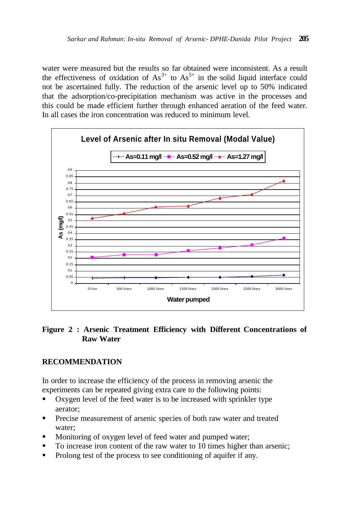water were measured but the results so far obtained were inconsistent. As a result the effectiveness of oxidation of  $As^{3+}$  to  $As^{5+}$  in the solid liquid interface could not be ascertained fully. The reduction of the arsenic level up to 50% indicated that the adsorption/co-precipitation mechanism was active in the processes and this could be made efficient further through enhanced aeration of the feed water. In all cases the iron concentration was reduced to minimum level.



## **Figure 2 : Arsenic Treatment Efficiency with Different Concentrations of Raw Water**

# **RECOMMENDATION**

In order to increase the efficiency of the process in removing arsenic the experiments can be repeated giving extra care to the following points:

- Oxygen level of the feed water is to be increased with sprinkler type aerator;
- **•** Precise measurement of arsenic species of both raw water and treated water;
- Monitoring of oxygen level of feed water and pumped water;
- To increase iron content of the raw water to 10 times higher than arsenic;
- Prolong test of the process to see conditioning of aquifer if any.